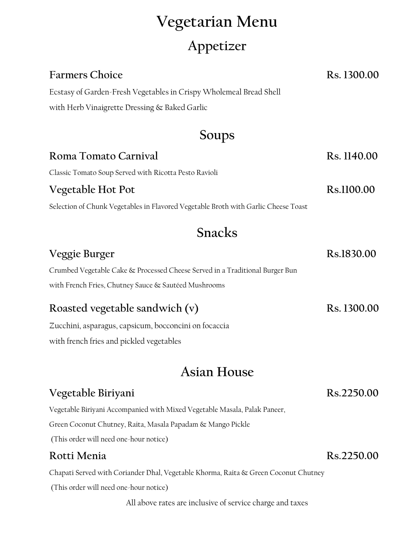# **Vegetarian Menu Appetizer**

| <b>Farmers Choice</b>                                                              | Rs. 1300.00 |
|------------------------------------------------------------------------------------|-------------|
| Ecstasy of Garden-Fresh Vegetables in Crispy Wholemeal Bread Shell                 |             |
| with Herb Vinaigrette Dressing & Baked Garlic                                      |             |
| Soups                                                                              |             |
| Roma Tomato Carnival                                                               | Rs. 1140.00 |
| Classic Tomato Soup Served with Ricotta Pesto Ravioli                              |             |
| Vegetable Hot Pot                                                                  | Rs.1100.00  |
| Selection of Chunk Vegetables in Flavored Vegetable Broth with Garlic Cheese Toast |             |
| <b>Snacks</b>                                                                      |             |
| Veggie Burger                                                                      | Rs.1830.00  |

Crumbed Vegetable Cake & Processed Cheese Served in a Traditional Burger Bun with French Fries, Chutney Sauce & Sautéed Mushrooms

### Roasted vegetable sandwich (v) Rs. 1300.00

Zucchini, asparagus, capsicum, bocconcini on focaccia with french fries and pickled vegetables

## **Asian House**

### **Vegetable Biriyani Rs.2250.00**

Vegetable Biriyani Accompanied with Mixed Vegetable Masala, Palak Paneer,

Green Coconut Chutney, Raita, Masala Papadam & Mango Pickle

(This order will need one-hour notice)

### **Rotti Menia Rs.2250.00**

Chapati Served with Coriander Dhal, Vegetable Khorma, Raita & Green Coconut Chutney

(This order will need one-hour notice)

All above rates are inclusive of service charge and taxes